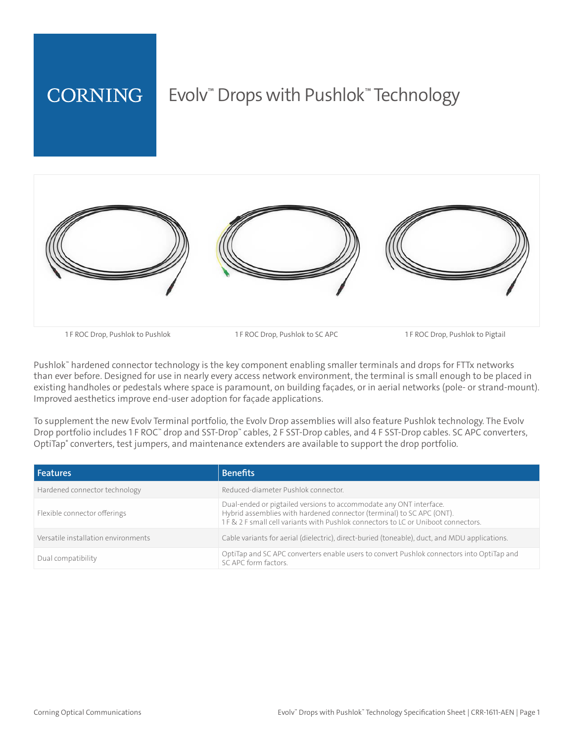

Pushlok™ hardened connector technology is the key component enabling smaller terminals and drops for FTTx networks than ever before. Designed for use in nearly every access network environment, the terminal is small enough to be placed in existing handholes or pedestals where space is paramount, on building façades, or in aerial networks (pole- or strand-mount). Improved aesthetics improve end-user adoption for faÇade applications.

To supplement the new Evolv Terminal portfolio, the Evolv Drop assemblies will also feature Pushlok technology. The Evolv Drop portfolio includes 1 F ROC™ drop and SST-Drop™ cables, 2 F SST-Drop cables, and 4 F SST-Drop cables. SC APC converters, OptiTap® converters, test jumpers, and maintenance extenders are available to support the drop portfolio.

| <b>Features</b>                     | <b>Benefits</b>                                                                                                                                                                                                                   |
|-------------------------------------|-----------------------------------------------------------------------------------------------------------------------------------------------------------------------------------------------------------------------------------|
| Hardened connector technology       | Reduced-diameter Pushlok connector.                                                                                                                                                                                               |
| Flexible connector offerings        | Dual-ended or pigtailed versions to accommodate any ONT interface.<br>Hybrid assemblies with hardened connector (terminal) to SC APC (ONT).<br>1 F & 2 F small cell variants with Pushlok connectors to LC or Uniboot connectors. |
| Versatile installation environments | Cable variants for aerial (dielectric), direct-buried (toneable), duct, and MDU applications.                                                                                                                                     |
| Dual compatibility                  | OptiTap and SC APC converters enable users to convert Pushlok connectors into OptiTap and<br>SC APC form factors.                                                                                                                 |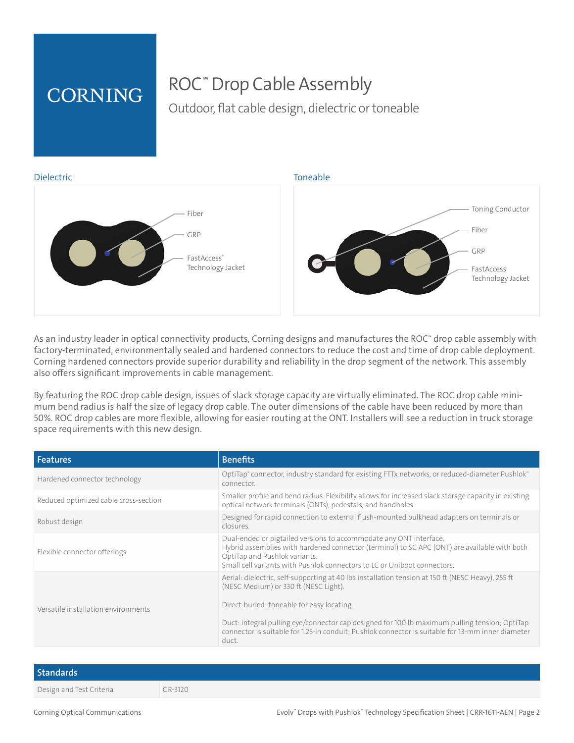# **CORNING**

# ROC™ Drop Cable Assembly

Outdoor, flat cable design, dielectric or toneable



As an industry leader in optical connectivity products, Corning designs and manufactures the ROC™ drop cable assembly with factory-terminated, environmentally sealed and hardened connectors to reduce the cost and time of drop cable deployment. Corning hardened connectors provide superior durability and reliability in the drop segment of the network. This assembly also offers significant improvements in cable management.

By featuring the ROC drop cable design, issues of slack storage capacity are virtually eliminated. The ROC drop cable minimum bend radius is half the size of legacy drop cable. The outer dimensions of the cable have been reduced by more than 50%. ROC drop cables are more flexible, allowing for easier routing at the ONT. Installers will see a reduction in truck storage space requirements with this new design.

| <b>Features</b>                       | <b>Benefits</b>                                                                                                                                                                                                                                                                                                                                                                                         |
|---------------------------------------|---------------------------------------------------------------------------------------------------------------------------------------------------------------------------------------------------------------------------------------------------------------------------------------------------------------------------------------------------------------------------------------------------------|
| Hardened connector technology         | OptiTap® connector, industry standard for existing FTTx networks, or reduced-diameter Pushlok®<br>connector.                                                                                                                                                                                                                                                                                            |
| Reduced optimized cable cross-section | Smaller profile and bend radius. Flexibility allows for increased slack storage capacity in existing<br>optical network terminals (ONTs), pedestals, and handholes.                                                                                                                                                                                                                                     |
| Robust design                         | Designed for rapid connection to external flush-mounted bulkhead adapters on terminals or<br>closures.                                                                                                                                                                                                                                                                                                  |
| Flexible connector offerings          | Dual-ended or pigtailed versions to accommodate any ONT interface.<br>Hybrid assemblies with hardened connector (terminal) to SC APC (ONT) are available with both<br>OptiTap and Pushlok variants.<br>Small cell variants with Pushlok connectors to LC or Uniboot connectors.                                                                                                                         |
| Versatile installation environments   | Aerial: dielectric, self-supporting at 40 lbs installation tension at 150 ft (NESC Heavy), 255 ft<br>(NESC Medium) or 330 ft (NESC Light).<br>Direct-buried: toneable for easy locating.<br>Duct: integral pulling eye/connector cap designed for 100 lb maximum pulling tension; OptiTap<br>connector is suitable for 1.25-in conduit; Pushlok connector is suitable for 13-mm inner diameter<br>duct. |

| <b>Standards</b>         |         |
|--------------------------|---------|
| Design and Test Criteria | GR-3120 |

Corning Optical Communications

Drops with Pushlok™ Technology Specification Sheet | CRR-1611-AEN | Page 2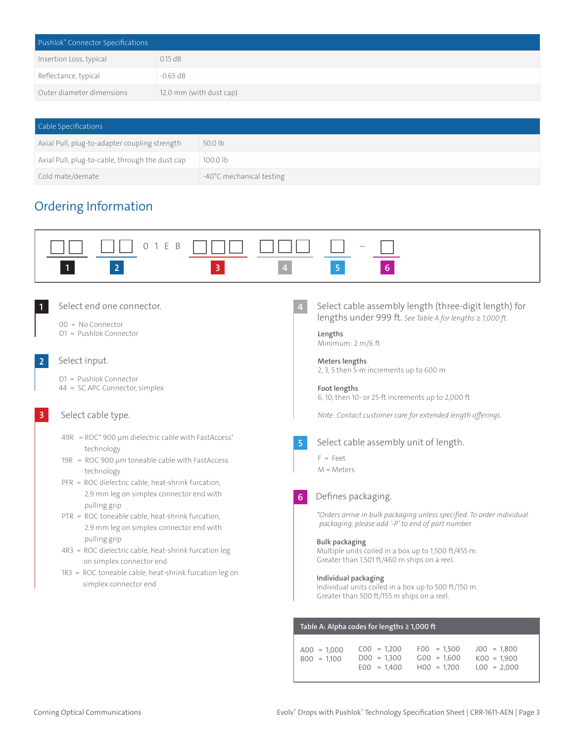| Pushlok" Connector Specifications |                         |  |
|-----------------------------------|-------------------------|--|
| Insertion Loss, typical           | $0.15$ dB               |  |
| Reflectance, typical              | $-0.65$ dB              |  |
| Outer diameter dimensions         | 12.0 mm (with dust cap) |  |

| Cable Specifications                            |                          |
|-------------------------------------------------|--------------------------|
| Axial Pull, plug-to-adapter coupling strength   | 50.0 lb                  |
| Axial Pull, plug-to-cable, through the dust cap | 100.0 <sub>1b</sub>      |
| Cold mate/demate                                | -40°C mechanical testing |

### Ordering Information

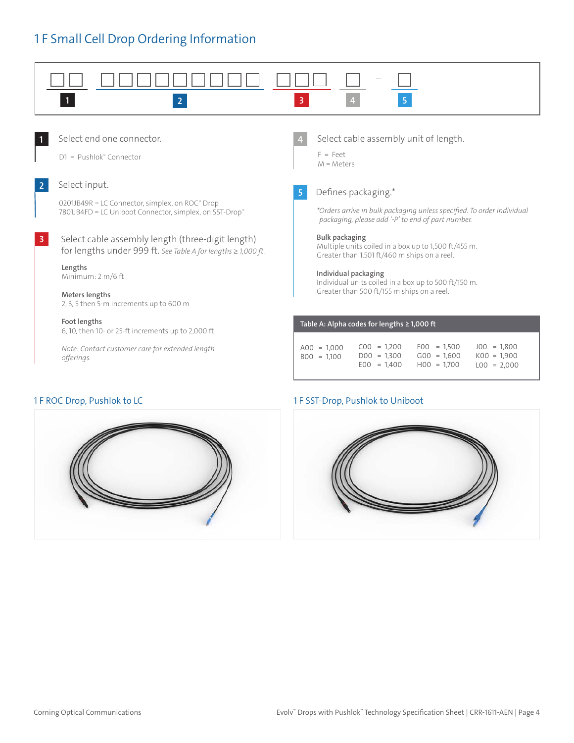## 1 F Small Cell Drop Ordering Information





#### 1 F ROC Drop, Pushlok to LC 1 F SST-Drop, Pushlok to Uniboot

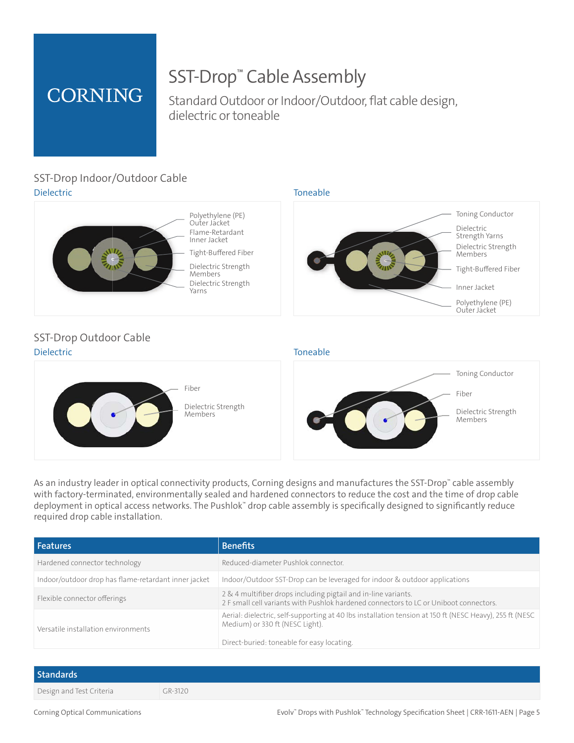# **CORNING**

# SST-Drop™ Cable Assembly

Standard Outdoor or Indoor/Outdoor, flat cable design, dielectric or toneable

#### Dielectric Toneable SST-Drop Indoor/Outdoor Cable



Flame-Retardant Inner Jacket Flame-Retardant Inner Jacket Polyethylene (PE) Polyethylene (PE) Outer Jacket Outer Jacket

Tight-Buffered Fiber Tight-BufferedFiber Dielectric Strength Dielectric Strength Members Members Dielectric Strength Dielectric Strength



#### Dielectric **Toneable** SST-Drop Outdoor Cable





As an industry leader in optical connectivity products, Corning designs and manufactures the SST-Drop™ cable assembly with factory-terminated, environmentally sealed and hardened connectors to reduce the cost and the time of drop cable deployment in optical access networks. The Pushlok™ drop cable assembly is specifically designed to significantly reduce required drop cable installation.

| <b>Features</b>                                      | <b>Benefits</b>                                                                                                                                                                          |  |
|------------------------------------------------------|------------------------------------------------------------------------------------------------------------------------------------------------------------------------------------------|--|
| Hardened connector technology                        | Reduced-diameter Pushlok connector.                                                                                                                                                      |  |
| Indoor/outdoor drop has flame-retardant inner jacket | Indoor/Outdoor SST-Drop can be leveraged for indoor & outdoor applications                                                                                                               |  |
| Flexible connector offerings                         | 2 & 4 multifiber drops including pigtail and in-line variants.<br>2 F small cell variants with Pushlok hardened connectors to LC or Uniboot connectors.                                  |  |
| Versatile installation environments                  | Aerial: dielectric, self-supporting at 40 lbs installation tension at 150 ft (NESC Heavy), 255 ft (NESC<br>Medium) or 330 ft (NESC Light).<br>Direct-buried: toneable for easy locating. |  |

## **Standards** Design and Test Criteria GR-3120

Corning Optical Communications

Drops with Pushlok™ Technology Specification Sheet | CRR-1611-AEN | Page 5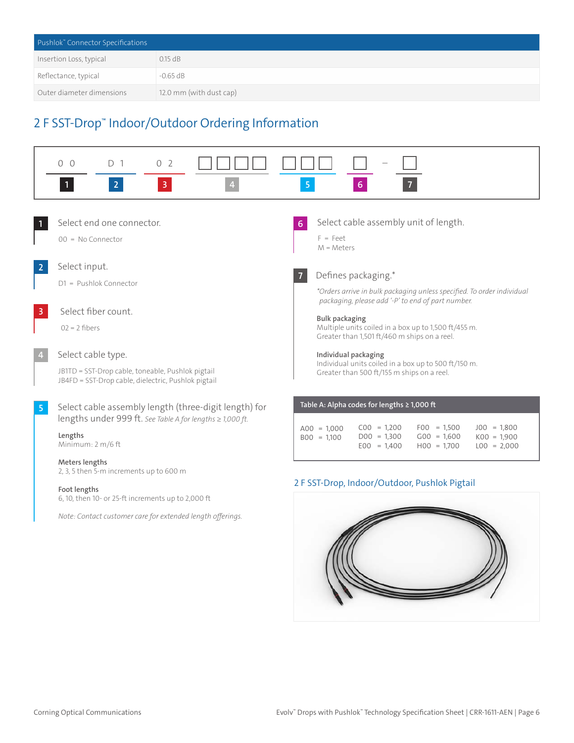| Pushlok" Connector Specifications |                         |
|-----------------------------------|-------------------------|
| Insertion Loss, typical           | $0.15$ dB               |
| Reflectance, typical              | $-0.65$ dB              |
| Outer diameter dimensions         | 12.0 mm (with dust cap) |

## 2 F SST-Drop™ Indoor/Outdoor Ordering Information

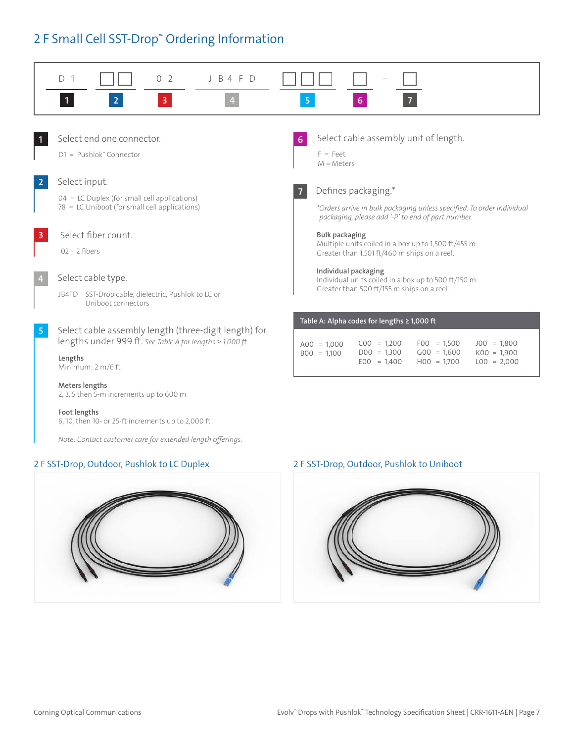## 2 F Small Cell SST-Drop™ Ordering Information



#### 2 F SST-Drop, Outdoor, Pushlok to LC Duplex 2 F SST-Drop, Outdoor, Pushlok to Uniboot



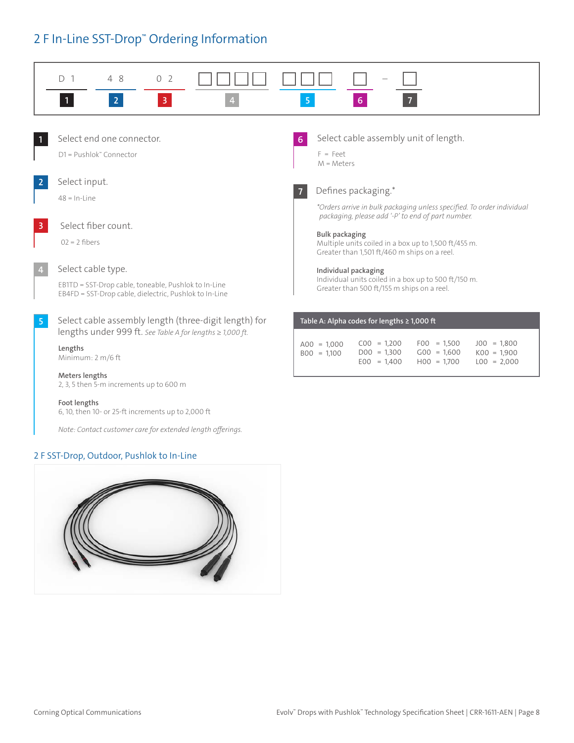### 2 F In-Line SST-Drop™ Ordering Information



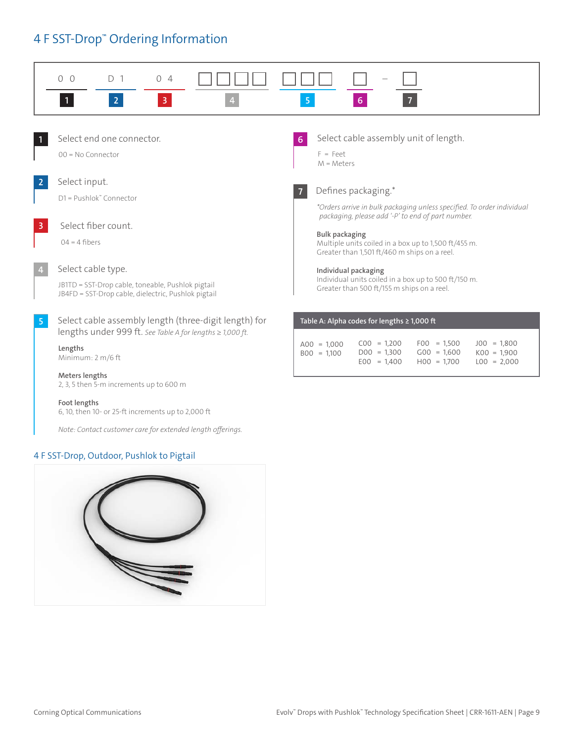## 4 F SST-Drop™ Ordering Information



#### 4 F SST-Drop, Outdoor, Pushlok to Pigtail

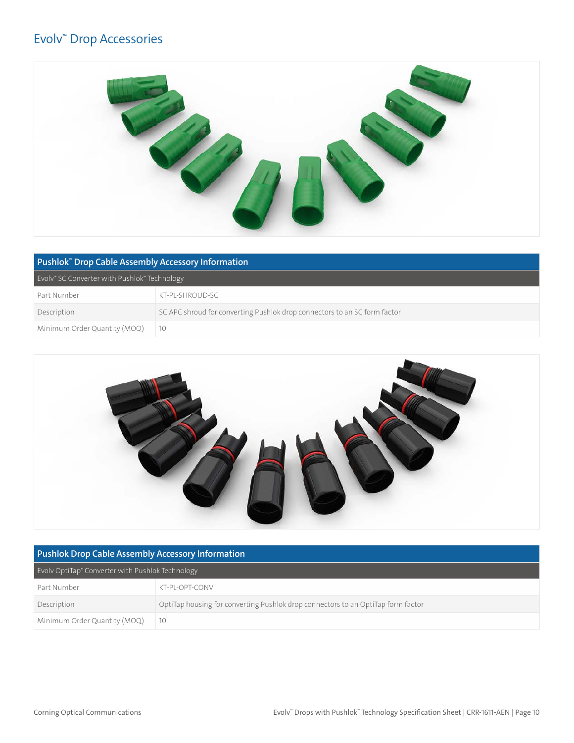#### Evolv™ Drop Accessories



| Pushlok" Drop Cable Assembly Accessory Information |                                                                           |
|----------------------------------------------------|---------------------------------------------------------------------------|
| Evoly" SC Converter with Pushlok" Technology       |                                                                           |
| Part Number                                        | KT-PL-SHROUD-SC                                                           |
| Description                                        | SC APC shroud for converting Pushlok drop connectors to an SC form factor |
| Minimum Order Quantity (MOQ)                       |                                                                           |



| <b>Pushlok Drop Cable Assembly Accessory Information</b> |                                                                                  |
|----------------------------------------------------------|----------------------------------------------------------------------------------|
| Evoly OptiTap® Converter with Pushlok Technology         |                                                                                  |
| Part Number                                              | KT-PI-OPT-CONV                                                                   |
| Description                                              | OptiTap housing for converting Pushlok drop connectors to an OptiTap form factor |
| Minimum Order Quantity (MOQ)                             | 10                                                                               |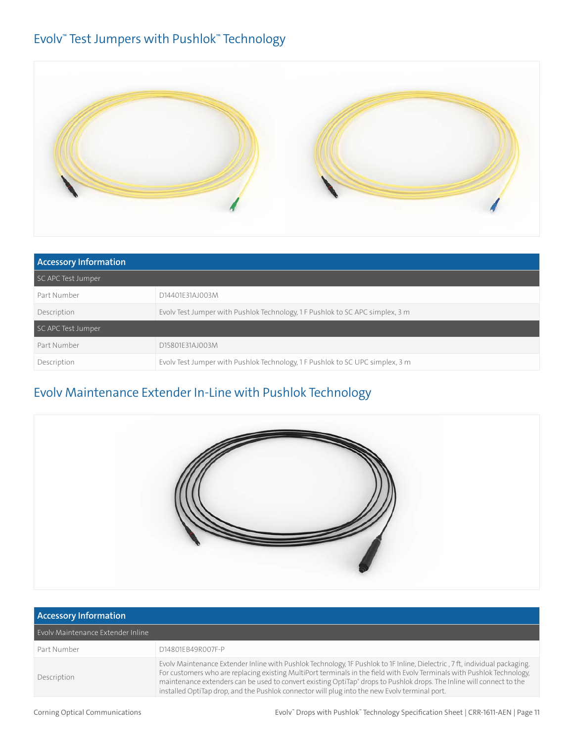### Evolv™ Test Jumpers with Pushlok™ Technology



| <b>Accessory Information</b> |                                                                               |  |
|------------------------------|-------------------------------------------------------------------------------|--|
| SC APC Test Jumper           |                                                                               |  |
| Part Number                  | D14401F31AJ003M                                                               |  |
| Description                  | Evolv Test Jumper with Pushlok Technology, 1 F Pushlok to SC APC simplex, 3 m |  |
| SC APC Test Jumper           |                                                                               |  |
| Part Number                  | D15801F31AJ003M                                                               |  |
| Description                  | Evolv Test Jumper with Pushlok Technology, 1 F Pushlok to SC UPC simplex, 3 m |  |

## Evolv Maintenance Extender In-Line with Pushlok Technology



| <b>Accessory Information</b>      |                                                                                                                                                                                                                                                                                                                                                                                                                                                                                             |
|-----------------------------------|---------------------------------------------------------------------------------------------------------------------------------------------------------------------------------------------------------------------------------------------------------------------------------------------------------------------------------------------------------------------------------------------------------------------------------------------------------------------------------------------|
| Evoly Maintenance Extender Inline |                                                                                                                                                                                                                                                                                                                                                                                                                                                                                             |
| Part Number                       | D14801EB49R007F-P                                                                                                                                                                                                                                                                                                                                                                                                                                                                           |
| Description                       | Evolv Maintenance Extender Inline with Pushlok Technology, 1F Pushlok to 1F Inline, Dielectric, 7ft, individual packaging.<br>For customers who are replacing existing MultiPort terminals in the field with Evolv Terminals with Pushlok Technology,<br>maintenance extenders can be used to convert existing OptiTap <sup>®</sup> drops to Pushlok drops. The Inline will connect to the<br>installed OptiTap drop, and the Pushlok connector will plug into the new Evolv terminal port. |